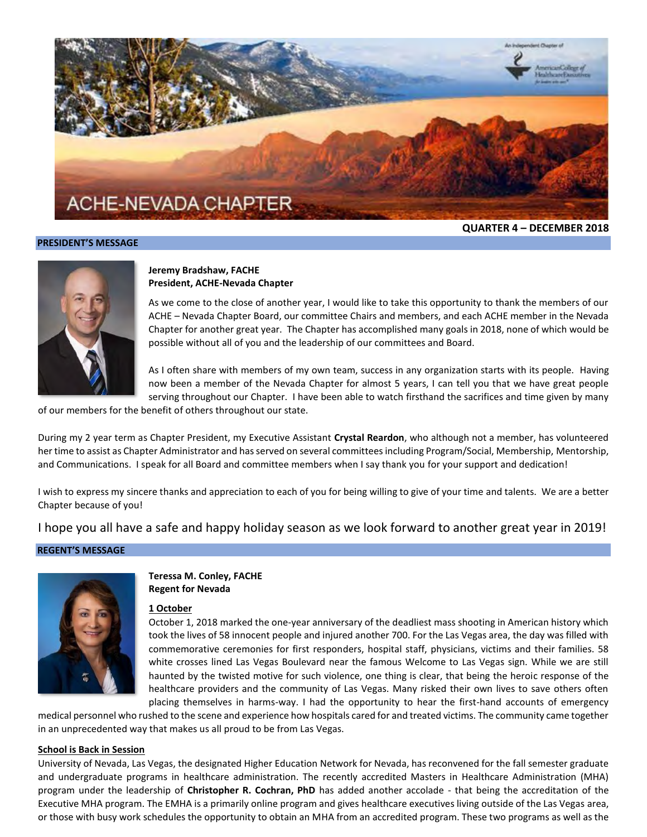

#### **PRESIDENT'S MESSAGE**

**QUARTER 4 – DECEMBER 2018**



#### **Jeremy Bradshaw, FACHE President, ACHE-Nevada Chapter**

As we come to the close of another year, I would like to take this opportunity to thank the members of our ACHE – Nevada Chapter Board, our committee Chairs and members, and each ACHE member in the Nevada Chapter for another great year. The Chapter has accomplished many goals in 2018, none of which would be possible without all of you and the leadership of our committees and Board.

As I often share with members of my own team, success in any organization starts with its people. Having now been a member of the Nevada Chapter for almost 5 years, I can tell you that we have great people serving throughout our Chapter. I have been able to watch firsthand the sacrifices and time given by many

of our members for the benefit of others throughout our state.

During my 2 year term as Chapter President, my Executive Assistant **Crystal Reardon**, who although not a member, has volunteered her time to assist as Chapter Administrator and has served on several committees including Program/Social, Membership, Mentorship, and Communications. I speak for all Board and committee members when I say thank you for your support and dedication!

I wish to express my sincere thanks and appreciation to each of you for being willing to give of your time and talents. We are a better Chapter because of you!

I hope you all have a safe and happy holiday season as we look forward to another great year in 2019!

#### **REGENT'S MESSAGE**



**Teressa M. Conley, FACHE Regent for Nevada**

#### **1 October**

October 1, 2018 marked the one-year anniversary of the deadliest mass shooting in American history which took the lives of 58 innocent people and injured another 700. For the Las Vegas area, the day was filled with commemorative ceremonies for first responders, hospital staff, physicians, victims and their families. 58 white crosses lined Las Vegas Boulevard near the famous Welcome to Las Vegas sign. While we are still haunted by the twisted motive for such violence, one thing is clear, that being the heroic response of the healthcare providers and the community of Las Vegas. Many risked their own lives to save others often placing themselves in harms-way. I had the opportunity to hear the first-hand accounts of emergency

medical personnel who rushed to the scene and experience how hospitals cared for and treated victims. The community came together in an unprecedented way that makes us all proud to be from Las Vegas.

#### **School is Back in Session**

University of Nevada, Las Vegas, the designated Higher Education Network for Nevada, has reconvened for the fall semester graduate and undergraduate programs in healthcare administration. The recently accredited Masters in Healthcare Administration (MHA) program under the leadership of **Christopher R. Cochran, PhD** has added another accolade - that being the accreditation of the Executive MHA program. The EMHA is a primarily online program and gives healthcare executives living outside of the Las Vegas area, or those with busy work schedules the opportunity to obtain an MHA from an accredited program. These two programs as well as the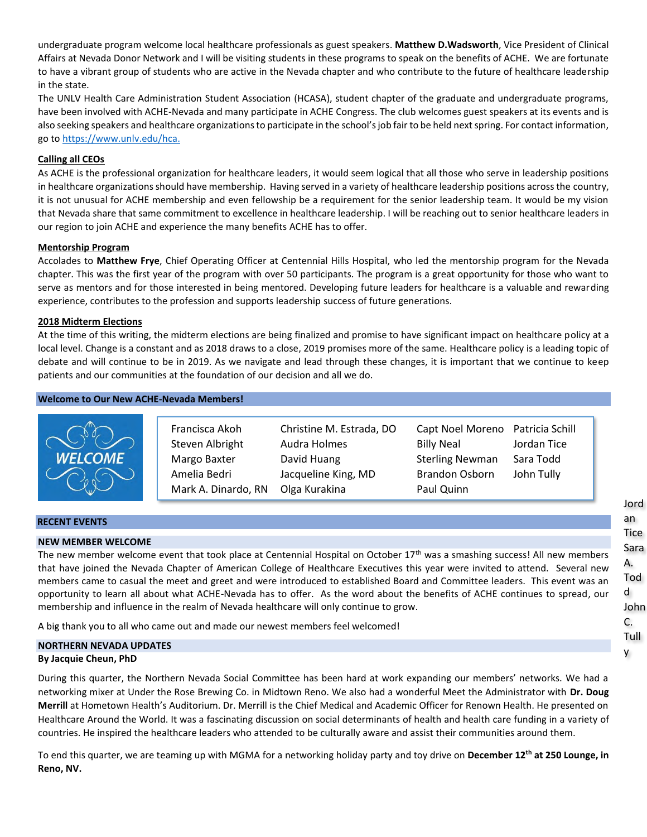undergraduate program welcome local healthcare professionals as guest speakers. **Matthew D.Wadsworth**, Vice President of Clinical Affairs at Nevada Donor Network and I will be visiting students in these programs to speak on the benefits of ACHE. We are fortunate to have a vibrant group of students who are active in the Nevada chapter and who contribute to the future of healthcare leadership in the state.

The UNLV Health Care Administration Student Association (HCASA), student chapter of the graduate and undergraduate programs, have been involved with ACHE-Nevada and many participate in ACHE Congress. The club welcomes guest speakers at its events and is also seeking speakers and healthcare organizations to participate in the school's job fair to be held next spring. For contact information, go to [https://www.unlv.edu/hca.](https://www.unlv.edu/hca)

# **Calling all CEOs**

As ACHE is the professional organization for healthcare leaders, it would seem logical that all those who serve in leadership positions in healthcare organizations should have membership. Having served in a variety of healthcare leadership positions across the country, it is not unusual for ACHE membership and even fellowship be a requirement for the senior leadership team. It would be my vision that Nevada share that same commitment to excellence in healthcare leadership. I will be reaching out to senior healthcare leaders in our region to join ACHE and experience the many benefits ACHE has to offer.

# **Mentorship Program**

Accolades to **Matthew Frye**, Chief Operating Officer at Centennial Hills Hospital, who led the mentorship program for the Nevada chapter. This was the first year of the program with over 50 participants. The program is a great opportunity for those who want to serve as mentors and for those interested in being mentored. Developing future leaders for healthcare is a valuable and rewarding experience, contributes to the profession and supports leadership success of future generations.

# **2018 Midterm Elections**

At the time of this writing, the midterm elections are being finalized and promise to have significant impact on healthcare policy at a local level. Change is a constant and as 2018 draws to a close, 2019 promises more of the same. Healthcare policy is a leading topic of debate and will continue to be in 2019. As we navigate and lead through these changes, it is important that we continue to keep patients and our communities at the foundation of our decision and all we do.

#### **Welcome to Our New ACHE-Nevada Members!**

| $\sim$<br><b>WELCOME</b> | Francisca Akoh<br>Steven Albright<br>Margo Baxter | Christine M. Estrada, DO<br>Audra Holmes<br>David Huang | Capt Noel Moreno Patricia Schill<br><b>Billy Neal</b><br><b>Sterling Newman</b> | Jordan Tice<br>Sara Todd |
|--------------------------|---------------------------------------------------|---------------------------------------------------------|---------------------------------------------------------------------------------|--------------------------|
|                          | Amelia Bedri<br>Mark A. Dinardo, RN               | Jacqueline King, MD<br>Olga Kurakina                    | <b>Brandon Osborn</b><br>Paul Quinn                                             | John Tully               |

#### **RECENT EVENTS**

# **NEW MEMBER WELCOME**

The new member welcome event that took place at Centennial Hospital on October  $17<sup>th</sup>$  was a smashing success! All new members that have joined the Nevada Chapter of American College of Healthcare Executives this year were invited to attend. Several new members came to casual the meet and greet and were introduced to established Board and Committee leaders. This event was an opportunity to learn all about what ACHE-Nevada has to offer. As the word about the benefits of ACHE continues to spread, our membership and influence in the realm of Nevada healthcare will only continue to grow.

A big thank you to all who came out and made our newest members feel welcomed!

# **NORTHERN NEVADA UPDATES**

# **By Jacquie Cheun, PhD**

During this quarter, the Northern Nevada Social Committee has been hard at work expanding our members' networks. We had a networking mixer at Under the Rose Brewing Co. in Midtown Reno. We also had a wonderful Meet the Administrator with **Dr. Doug Merrill** at Hometown Health's Auditorium. Dr. Merrill is the Chief Medical and Academic Officer for Renown Health. He presented on Healthcare Around the World. It was a fascinating discussion on social determinants of health and health care funding in a variety of countries. He inspired the healthcare leaders who attended to be culturally aware and assist their communities around them.

To end this quarter, we are teaming up with MGMA for a networking holiday party and toy drive on **December 12th at 250 Lounge, in Reno, NV.**

Jord an **Tice** Sara A. Tod d John C. Tull y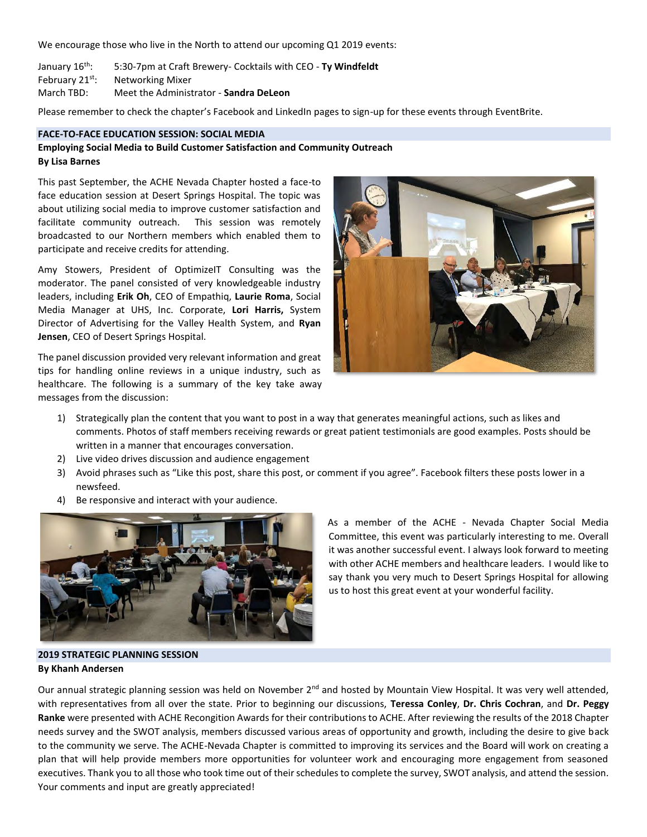We encourage those who live in the North to attend our upcoming Q1 2019 events:

January 16th: 5:30-7pm at Craft Brewery- Cocktails with CEO - **Ty Windfeldt** February 21<sup>st</sup>: Networking Mixer March TBD: Meet the Administrator - **Sandra DeLeon**

Please remember to check the chapter's Facebook and LinkedIn pages to sign-up for these events through EventBrite.

#### **FACE-TO-FACE EDUCATION SESSION: SOCIAL MEDIA**

# **Employing Social Media to Build Customer Satisfaction and Community Outreach By Lisa Barnes**

This past September, the ACHE Nevada Chapter hosted a face-to face education session at Desert Springs Hospital. The topic was about utilizing social media to improve customer satisfaction and facilitate community outreach. This session was remotely broadcasted to our Northern members which enabled them to participate and receive credits for attending.

Amy Stowers, President of OptimizeIT Consulting was the moderator. The panel consisted of very knowledgeable industry leaders, including **Erik Oh**, CEO of Empathiq, **Laurie Roma**, Social Media Manager at UHS, Inc. Corporate, **Lori Harris,** System Director of Advertising for the Valley Health System, and **Ryan Jensen**, CEO of Desert Springs Hospital.

The panel discussion provided very relevant information and great tips for handling online reviews in a unique industry, such as healthcare. The following is a summary of the key take away messages from the discussion:



- 1) Strategically plan the content that you want to post in a way that generates meaningful actions, such as likes and comments. Photos of staff members receiving rewards or great patient testimonials are good examples. Posts should be written in a manner that encourages conversation.
- 2) Live video drives discussion and audience engagement
- 3) Avoid phrases such as "Like this post, share this post, or comment if you agree". Facebook filters these posts lower in a newsfeed.
- 4) Be responsive and interact with your audience.



As a member of the ACHE - Nevada Chapter Social Media Committee, this event was particularly interesting to me. Overall it was another successful event. I always look forward to meeting with other ACHE members and healthcare leaders. I would like to say thank you very much to Desert Springs Hospital for allowing us to host this great event at your wonderful facility.

# **2019 STRATEGIC PLANNING SESSION By Khanh Andersen**

Our annual strategic planning session was held on November 2<sup>nd</sup> and hosted by Mountain View Hospital. It was very well attended, with representatives from all over the state. Prior to beginning our discussions, **Teressa Conley**, **Dr. Chris Cochran**, and **Dr. Peggy Ranke** were presented with ACHE Recongition Awards for their contributions to ACHE. After reviewing the results of the 2018 Chapter needs survey and the SWOT analysis, members discussed various areas of opportunity and growth, including the desire to give back to the community we serve. The ACHE-Nevada Chapter is committed to improving its services and the Board will work on creating a plan that will help provide members more opportunities for volunteer work and encouraging more engagement from seasoned executives. Thank you to all those who took time out of their schedules to complete the survey, SWOT analysis, and attend the session. Your comments and input are greatly appreciated!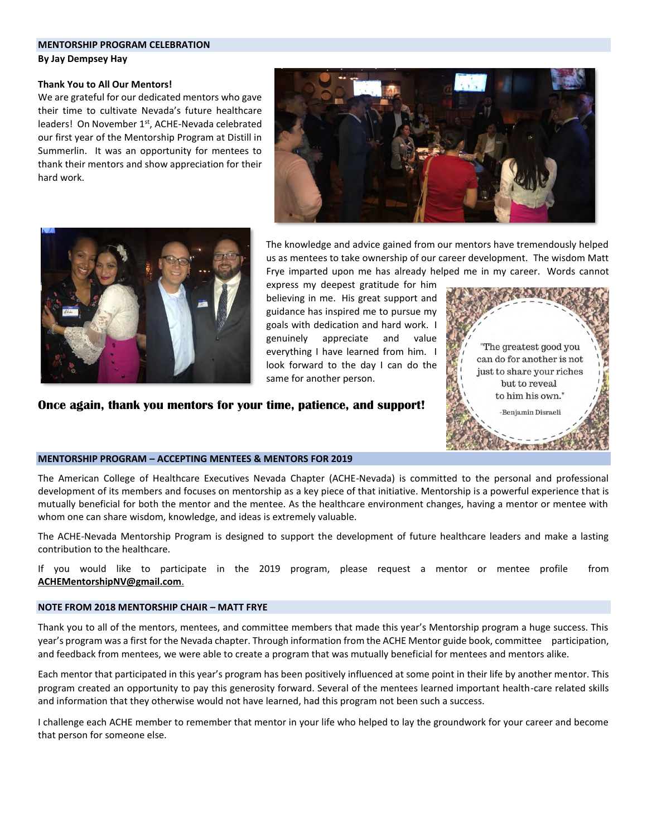#### **MENTORSHIP PROGRAM CELEBRATION**

**By Jay Dempsey Hay**

#### **Thank You to All Our Mentors!**

We are grateful for our dedicated mentors who gave their time to cultivate Nevada's future healthcare leaders! On November 1<sup>st</sup>, ACHE-Nevada celebrated our first year of the Mentorship Program at Distill in Summerlin. It was an opportunity for mentees to thank their mentors and show appreciation for their hard work.





The knowledge and advice gained from our mentors have tremendously helped us as mentees to take ownership of our career development. The wisdom Matt Frye imparted upon me has already helped me in my career. Words cannot

express my deepest gratitude for him believing in me. His great support and guidance has inspired me to pursue my goals with dedication and hard work. I genuinely appreciate and value everything I have learned from him. I look forward to the day I can do the same for another person.

**Once again, thank you mentors for your time, patience, and support!**



# **MENTORSHIP PROGRAM – ACCEPTING MENTEES & MENTORS FOR 2019**

The American College of Healthcare Executives Nevada Chapter (ACHE-Nevada) is committed to the personal and professional development of its members and focuses on mentorship as a key piece of that initiative. Mentorship is a powerful experience that is mutually beneficial for both the mentor and the mentee. As the healthcare environment changes, having a mentor or mentee with whom one can share wisdom, knowledge, and ideas is extremely valuable.

The ACHE-Nevada Mentorship Program is designed to support the development of future healthcare leaders and make a lasting contribution to the healthcare.

If you would like to participate in the 2019 program, please request a mentor or mentee profile from **[ACHEMentorshipNV@gmail.com](mailto:ACHEMentorshipNV@gmail.com)**.

#### **NOTE FROM 2018 MENTORSHIP CHAIR – MATT FRYE**

Thank you to all of the mentors, mentees, and committee members that made this year's Mentorship program a huge success. This year's program was a first for the Nevada chapter. Through information from the ACHE Mentor guide book, committee participation, and feedback from mentees, we were able to create a program that was mutually beneficial for mentees and mentors alike.

Each mentor that participated in this year's program has been positively influenced at some point in their life by another mentor. This program created an opportunity to pay this generosity forward. Several of the mentees learned important health-care related skills and information that they otherwise would not have learned, had this program not been such a success.

I challenge each ACHE member to remember that mentor in your life who helped to lay the groundwork for your career and become that person for someone else.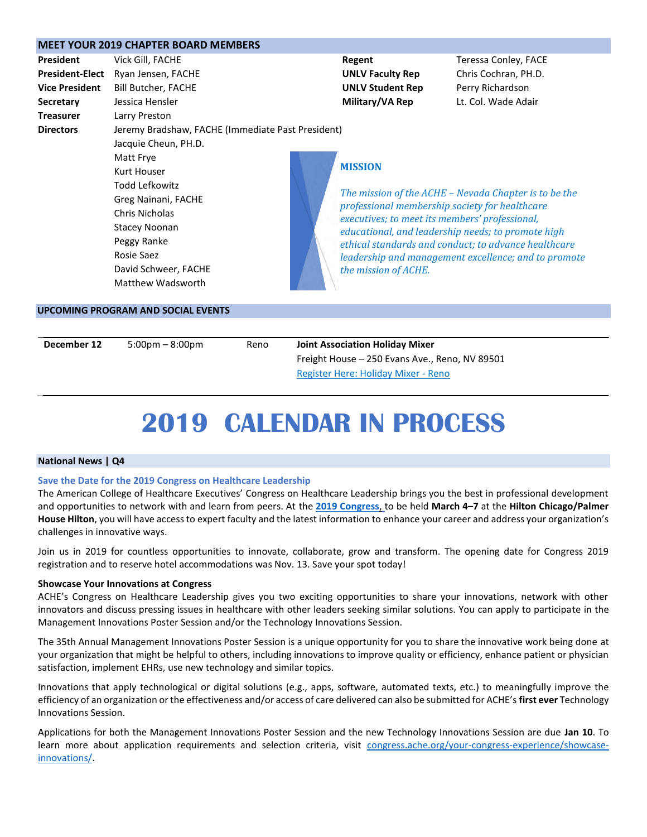|                        | <b>MEET YOUR 2019 CHAPTER BOARD MEMBERS</b>       |  |                                                                                                                                                        |                                                      |  |  |
|------------------------|---------------------------------------------------|--|--------------------------------------------------------------------------------------------------------------------------------------------------------|------------------------------------------------------|--|--|
| <b>President</b>       | Vick Gill, FACHE                                  |  | Regent                                                                                                                                                 | Teressa Conley, FACE                                 |  |  |
| <b>President-Elect</b> | Ryan Jensen, FACHE                                |  | <b>UNLV Faculty Rep</b>                                                                                                                                | Chris Cochran, PH.D.                                 |  |  |
| <b>Vice President</b>  | Bill Butcher, FACHE                               |  | <b>UNLV Student Rep</b>                                                                                                                                | Perry Richardson                                     |  |  |
| <b>Secretary</b>       | Jessica Hensler                                   |  | Military/VA Rep                                                                                                                                        | Lt. Col. Wade Adair                                  |  |  |
| <b>Treasurer</b>       | Larry Preston                                     |  |                                                                                                                                                        |                                                      |  |  |
| <b>Directors</b>       | Jeremy Bradshaw, FACHE (Immediate Past President) |  |                                                                                                                                                        |                                                      |  |  |
|                        | Jacquie Cheun, PH.D.                              |  |                                                                                                                                                        |                                                      |  |  |
|                        | Matt Frye                                         |  |                                                                                                                                                        |                                                      |  |  |
|                        | Kurt Houser                                       |  | <b>MISSION</b>                                                                                                                                         |                                                      |  |  |
|                        | Todd Lefkowitz                                    |  |                                                                                                                                                        |                                                      |  |  |
|                        | Greg Nainani, FACHE                               |  | The mission of the ACHE – Nevada Chapter is to be the                                                                                                  |                                                      |  |  |
|                        | Chris Nicholas                                    |  | professional membership society for healthcare<br>executives; to meet its members' professional,<br>educational, and leadership needs; to promote high |                                                      |  |  |
|                        | <b>Stacey Noonan</b>                              |  |                                                                                                                                                        |                                                      |  |  |
|                        | Peggy Ranke                                       |  |                                                                                                                                                        | ethical standards and conduct; to advance healthcare |  |  |
|                        | Rosie Saez                                        |  |                                                                                                                                                        | leadership and management excellence; and to promote |  |  |
|                        | David Schweer, FACHE                              |  | the mission of ACHE.                                                                                                                                   |                                                      |  |  |
|                        | Matthew Wadsworth                                 |  |                                                                                                                                                        |                                                      |  |  |
|                        |                                                   |  |                                                                                                                                                        |                                                      |  |  |
|                        | <b>UPCOMING PROGRAM AND SOCIAL EVENTS</b>         |  |                                                                                                                                                        |                                                      |  |  |

| December 12 | $5:00 \text{pm} - 8:00 \text{pm}$ | Reno | <b>Joint Association Holiday Mixer</b>         |  |
|-------------|-----------------------------------|------|------------------------------------------------|--|
|             |                                   |      | Freight House – 250 Evans Ave., Reno, NV 89501 |  |
|             |                                   |      | Register Here: Holiday Mixer - Reno            |  |

# **2019 CALENDAR IN PROCESS**

#### **National News | Q4**

#### **Save the Date for the 2019 Congress on Healthcare Leadership**

The American College of Healthcare Executives' Congress on Healthcare Leadership brings you the best in professional development and opportunities to network with and learn from peers. At the **[2019 Congress](http://www.ache.org/congress/index.cfm)**, to be held **March 4–7** at the **Hilton Chicago/Palmer House Hilton**, you will have access to expert faculty and the latest information to enhance your career and address your organization's challenges in innovative ways.

Join us in 2019 for countless opportunities to innovate, collaborate, grow and transform. The opening date for Congress 2019 registration and to reserve hotel accommodations was Nov. 13. Save your spot today!

#### **Showcase Your Innovations at Congress**

ACHE's Congress on Healthcare Leadership gives you two exciting opportunities to share your innovations, network with other innovators and discuss pressing issues in healthcare with other leaders seeking similar solutions. You can apply to participate in the Management Innovations Poster Session and/or the Technology Innovations Session.

The 35th Annual Management Innovations Poster Session is a unique opportunity for you to share the innovative work being done at your organization that might be helpful to others, including innovations to improve quality or efficiency, enhance patient or physician satisfaction, implement EHRs, use new technology and similar topics.

Innovations that apply technological or digital solutions (e.g., apps, software, automated texts, etc.) to meaningfully improve the efficiency of an organization or the effectiveness and/or access of care delivered can also be submitted for ACHE's **first ever** Technology Innovations Session.

Applications for both the Management Innovations Poster Session and the new Technology Innovations Session are due **Jan 10**. To learn more about application requirements and selection criteria, visit [congress.ache.org/your-congress-experience/showcase](https://congress.ache.org/your-congress-experience/showcase-innovations/)[innovations/.](https://congress.ache.org/your-congress-experience/showcase-innovations/)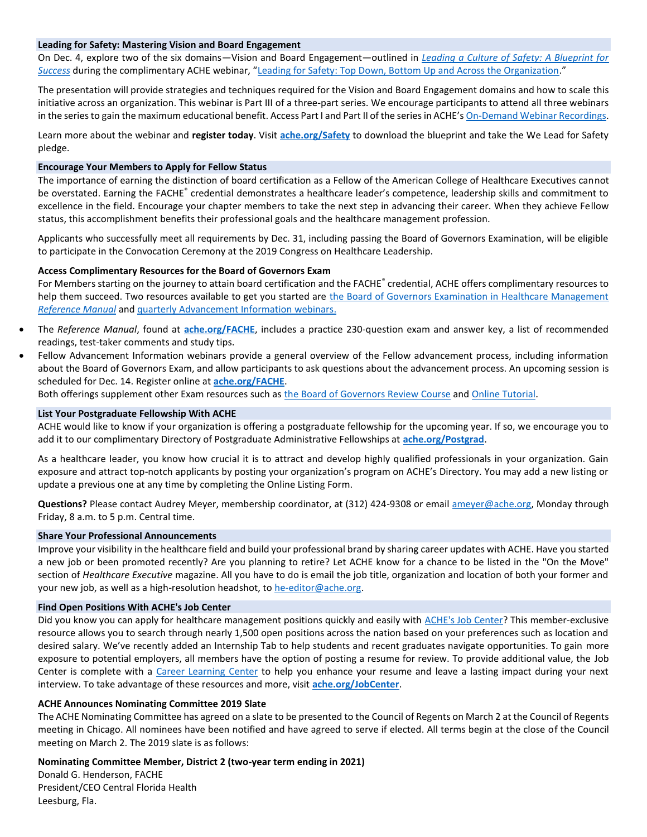#### **Leading for Safety: Mastering Vision and Board Engagement**

On Dec. 4, explore two of the six domains—Vision and Board Engagement—outlined in *[Leading a Culture of Safety: A Blueprint for](http://safety.ache.org/blueprint/)  [Success](http://safety.ache.org/blueprint/)* during the complimentary ACHE webinar, "[Leading for Safety: Top Down, Bottom Up and Across the Organization](http://www.ache.org/Events/webinar_detail.aspx?evt_code=WEB12418)."

The presentation will provide strategies and techniques required for the Vision and Board Engagement domains and how to scale this initiative across an organization. This webinar is Part III of a three-part series. We encourage participants to attend all three webinars in the series to gain the maximum educational benefit. Access Part I and Part II of the series in ACHE's [On-Demand Webinar Recordings.](http://www.ache.org/Events/AudioCD.aspx)

Learn more about the webinar and **register today**. Visit **[ache.org/Safety](http://safety.ache.org/)** to download the blueprint and take the We Lead for Safety pledge.

#### **Encourage Your Members to Apply for Fellow Status**

The importance of earning the distinction of board certification as a Fellow of the American College of Healthcare Executives cannot be overstated. Earning the FACHE<sup>®</sup> credential demonstrates a healthcare leader's competence, leadership skills and commitment to excellence in the field. Encourage your chapter members to take the next step in advancing their career. When they achieve Fellow status, this accomplishment benefits their professional goals and the healthcare management profession.

Applicants who successfully meet all requirements by Dec. 31, including passing the Board of Governors Examination, will be eligible to participate in the Convocation Ceremony at the 2019 Congress on Healthcare Leadership.

#### **Access Complimentary Resources for the Board of Governors Exam**

For Members starting on the journey to attain board certification and the FACHE® credential, ACHE offers complimentary resources to help them succeed. Two resources available to get you started are the Board of Governors Examination in Healthcare Management *[Reference Manual](http://www.ache.org/mbership/credentialing/EXAM/referencemanual.cfm)* and [quarterly Advancement Information webinars.](http://www.ache.org/mbership/credentialing/fellowadvance.cfm)

- The *Reference Manual*, found at **[ache.org/FACHE](http://www.ache.org/FACHE)**, includes a practice 230-question exam and answer key, a list of recommended readings, test-taker comments and study tips.
- Fellow Advancement Information webinars provide a general overview of the Fellow advancement process, including information about the Board of Governors Exam, and allow participants to ask questions about the advancement process. An upcoming session is scheduled for Dec. 14. Register online at **[ache.org/FACHE](http://www.ache.org/FACHE)**.

Both offerings supplement other Exam resources such as [the Board of Governors Review Course](http://www.ache.org/seminars/special/index.cfm?meet=BOGER13B&nav=1&subnav=4) an[d Online Tutorial.](http://www.ache.org/mbership/credentialing/EXAM/OnlineTutorial/OnLineTutorial.cfm)

#### **List Your Postgraduate Fellowship With ACHE**

ACHE would like to know if your organization is offering a postgraduate fellowship for the upcoming year. If so, we encourage you to add it to our complimentary Directory of Postgraduate Administrative Fellowships at **[ache.org/Postgrad](http://ache.org/PostGrad/)**.

As a healthcare leader, you know how crucial it is to attract and develop highly qualified professionals in your organization. Gain exposure and attract top-notch applicants by posting your organization's program on ACHE's Directory. You may add a new listing or update a previous one at any time by completing the Online Listing Form.

**Questions?** Please contact Audrey Meyer, membership coordinator, at (312) 424-9308 or email [ameyer@ache.org,](mailto:ameyer@ache.org) Monday through Friday, 8 a.m. to 5 p.m. Central time.

#### **Share Your Professional Announcements**

Improve your visibility in the healthcare field and build your professional brand by sharing career updates with ACHE. Have you started a new job or been promoted recently? Are you planning to retire? Let ACHE know for a chance to be listed in the "On the Move" section of *Healthcare Executive* magazine. All you have to do is email the job title, organization and location of both your former and your new job, as well as a high-resolution headshot, to [he-editor@ache.org.](mailto:he-editor@ache.org)

#### **Find Open Positions With ACHE's Job Center**

Did you know you can apply for healthcare management positions quickly and easily with [ACHE's Job Center?](http://www.ache.org/jobcenter) This member-exclusive resource allows you to search through nearly 1,500 open positions across the nation based on your preferences such as location and desired salary. We've recently added an Internship Tab to help students and recent graduates navigate opportunities. To gain more exposure to potential employers, all members have the option of posting a resume for review. To provide additional value, the Job Center is complete with a [Career Learning Center](https://careers.ache.org/jobseekers/resources/blueskyLMS/index.cfm) to help you enhance your resume and leave a lasting impact during your next interview. To take advantage of these resources and more, visit **[ache.org/JobCenter](http://www.ache.org/jobcenter)**.

#### **ACHE Announces Nominating Committee 2019 Slate**

The ACHE Nominating Committee has agreed on a slate to be presented to the Council of Regents on March 2 at the Council of Regents meeting in Chicago. All nominees have been notified and have agreed to serve if elected. All terms begin at the close of the Council meeting on March 2. The 2019 slate is as follows:

# **Nominating Committee Member, District 2 (two-year term ending in 2021)**

Donald G. Henderson, FACHE President/CEO Central Florida Health Leesburg, Fla.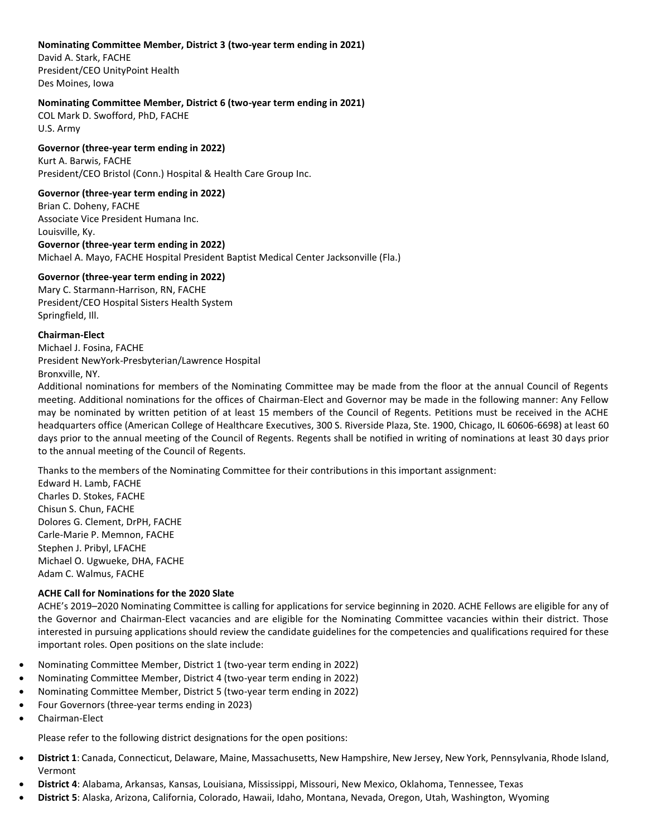# **Nominating Committee Member, District 3 (two-year term ending in 2021)**

David A. Stark, FACHE President/CEO UnityPoint Health Des Moines, Iowa

# **Nominating Committee Member, District 6 (two-year term ending in 2021)**

COL Mark D. Swofford, PhD, FACHE U.S. Army

# **Governor (three-year term ending in 2022)** Kurt A. Barwis, FACHE President/CEO Bristol (Conn.) Hospital & Health Care Group Inc.

# **Governor (three-year term ending in 2022)**

Brian C. Doheny, FACHE Associate Vice President Humana Inc. Louisville, Ky. **Governor (three-year term ending in 2022)** Michael A. Mayo, FACHE Hospital President Baptist Medical Center Jacksonville (Fla.)

# **Governor (three-year term ending in 2022)**

Mary C. Starmann-Harrison, RN, FACHE President/CEO Hospital Sisters Health System Springfield, Ill.

# **Chairman-Elect**

Michael J. Fosina, FACHE President NewYork-Presbyterian/Lawrence Hospital Bronxville, NY.

Additional nominations for members of the Nominating Committee may be made from the floor at the annual Council of Regents meeting. Additional nominations for the offices of Chairman-Elect and Governor may be made in the following manner: Any Fellow may be nominated by written petition of at least 15 members of the Council of Regents. Petitions must be received in the ACHE headquarters office (American College of Healthcare Executives, 300 S. Riverside Plaza, Ste. 1900, Chicago, IL 60606-6698) at least 60 days prior to the annual meeting of the Council of Regents. Regents shall be notified in writing of nominations at least 30 days prior to the annual meeting of the Council of Regents.

Thanks to the members of the Nominating Committee for their contributions in this important assignment:

Edward H. Lamb, FACHE Charles D. Stokes, FACHE Chisun S. Chun, FACHE Dolores G. Clement, DrPH, FACHE Carle-Marie P. Memnon, FACHE Stephen J. Pribyl, LFACHE Michael O. Ugwueke, DHA, FACHE Adam C. Walmus, FACHE

# **ACHE Call for Nominations for the 2020 Slate**

ACHE's 2019–2020 Nominating Committee is calling for applications for service beginning in 2020. ACHE Fellows are eligible for any of the Governor and Chairman-Elect vacancies and are eligible for the Nominating Committee vacancies within their district. Those interested in pursuing applications should review the candidate guidelines for the competencies and qualifications required for these important roles. Open positions on the slate include:

- Nominating Committee Member, District 1 (two-year term ending in 2022)
- Nominating Committee Member, District 4 (two-year term ending in 2022)
- Nominating Committee Member, District 5 (two-year term ending in 2022)
- Four Governors (three-year terms ending in 2023)
- Chairman-Elect

Please refer to the following district designations for the open positions:

- **District 1**: Canada, Connecticut, Delaware, Maine, Massachusetts, New Hampshire, New Jersey, New York, Pennsylvania, Rhode Island, Vermont
- **District 4**: Alabama, Arkansas, Kansas, Louisiana, Mississippi, Missouri, New Mexico, Oklahoma, Tennessee, Texas
- **District 5**: Alaska, Arizona, California, Colorado, Hawaii, Idaho, Montana, Nevada, Oregon, Utah, Washington, Wyoming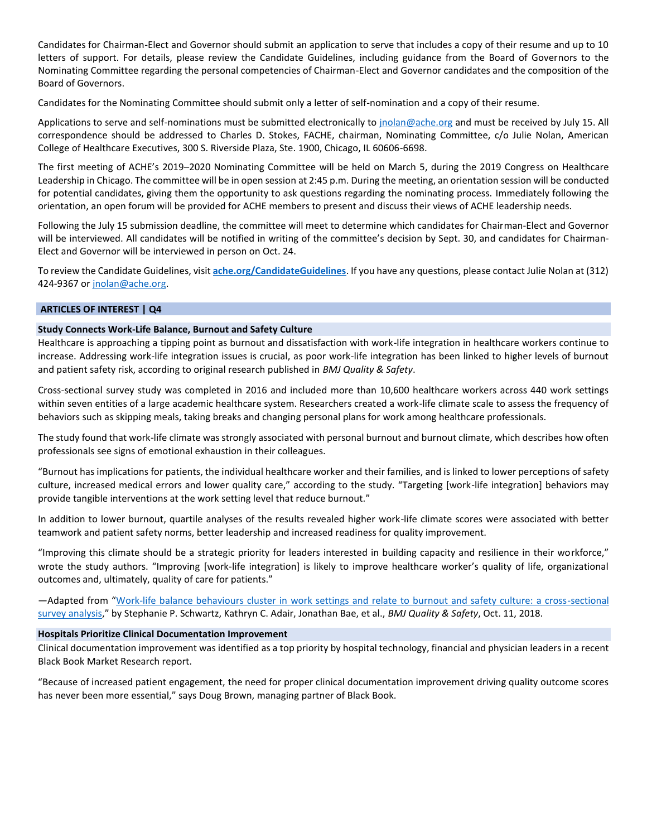Candidates for Chairman-Elect and Governor should submit an application to serve that includes a copy of their resume and up to 10 letters of support. For details, please review the Candidate Guidelines, including guidance from the Board of Governors to the Nominating Committee regarding the personal competencies of Chairman-Elect and Governor candidates and the composition of the Board of Governors.

Candidates for the Nominating Committee should submit only a letter of self-nomination and a copy of their resume.

Applications to serve and self-nominations must be submitted electronically to [jnolan@ache.org](mailto:jnolan@ache.org) and must be received by July 15. All correspondence should be addressed to Charles D. Stokes, FACHE, chairman, Nominating Committee, c/o Julie Nolan, American College of Healthcare Executives, 300 S. Riverside Plaza, Ste. 1900, Chicago, IL 60606-6698.

The first meeting of ACHE's 2019–2020 Nominating Committee will be held on March 5, during the 2019 Congress on Healthcare Leadership in Chicago. The committee will be in open session at 2:45 p.m. During the meeting, an orientation session will be conducted for potential candidates, giving them the opportunity to ask questions regarding the nominating process. Immediately following the orientation, an open forum will be provided for ACHE members to present and discuss their views of ACHE leadership needs.

Following the July 15 submission deadline, the committee will meet to determine which candidates for Chairman-Elect and Governor will be interviewed. All candidates will be notified in writing of the committee's decision by Sept. 30, and candidates for Chairman-Elect and Governor will be interviewed in person on Oct. 24.

To review the Candidate Guidelines, visit **[ache.org/CandidateGuidelines](http://www.ache.org/newclub/ElectedLeadersArea/REGSERV/candguid.cfm)**. If you have any questions, please contact Julie Nolan at (312) 424-9367 or [jnolan@ache.org.](mailto:jnolan@ache.org)

# **ARTICLES OF INTEREST | Q4**

# **Study Connects Work-Life Balance, Burnout and Safety Culture**

Healthcare is approaching a tipping point as burnout and dissatisfaction with work-life integration in healthcare workers continue to increase. Addressing work-life integration issues is crucial, as poor work-life integration has been linked to higher levels of burnout and patient safety risk, according to original research published in *BMJ Quality & Safety*.

Cross-sectional survey study was completed in 2016 and included more than 10,600 healthcare workers across 440 work settings within seven entities of a large academic healthcare system. Researchers created a work-life climate scale to assess the frequency of behaviors such as skipping meals, taking breaks and changing personal plans for work among healthcare professionals.

The study found that work-life climate was strongly associated with personal burnout and burnout climate, which describes how often professionals see signs of emotional exhaustion in their colleagues.

"Burnout has implications for patients, the individual healthcare worker and their families, and is linked to lower perceptions of safety culture, increased medical errors and lower quality care," according to the study. "Targeting [work-life integration] behaviors may provide tangible interventions at the work setting level that reduce burnout."

In addition to lower burnout, quartile analyses of the results revealed higher work-life climate scores were associated with better teamwork and patient safety norms, better leadership and increased readiness for quality improvement.

"Improving this climate should be a strategic priority for leaders interested in building capacity and resilience in their workforce," wrote the study authors. "Improving [work-life integration] is likely to improve healthcare worker's quality of life, organizational outcomes and, ultimately, quality of care for patients."

—Adapted from "[Work-life balance behaviours cluster in work settings and relate to burnout and safety culture: a cross-sectional](https://qualitysafety.bmj.com/content/early/2018/10/11/bmjqs-2018-007933)  [survey analysis](https://qualitysafety.bmj.com/content/early/2018/10/11/bmjqs-2018-007933)," by Stephanie P. Schwartz, Kathryn C. Adair, Jonathan Bae, et al., *BMJ Quality & Safety*, Oct. 11, 2018.

#### **Hospitals Prioritize Clinical Documentation Improvement**

Clinical documentation improvement was identified as a top priority by hospital technology, financial and physician leaders in a recent Black Book Market Research report.

"Because of increased patient engagement, the need for proper clinical documentation improvement driving quality outcome scores has never been more essential," says Doug Brown, managing partner of Black Book.